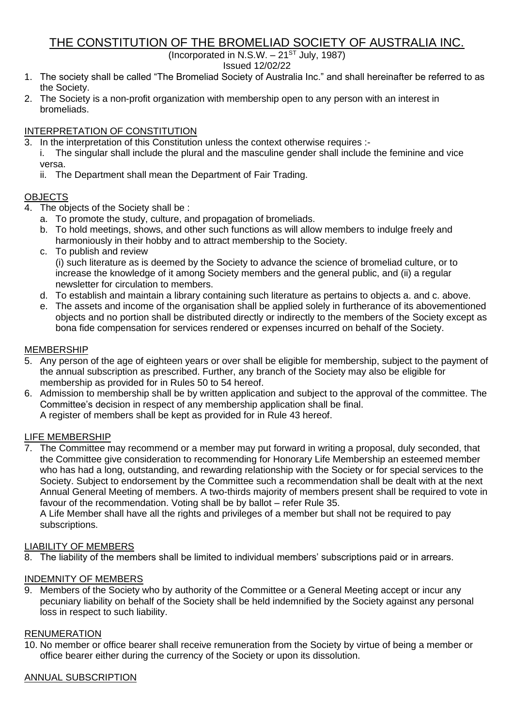# THE CONSTITUTION OF THE BROMELIAD SOCIETY OF AUSTRALIA INC.

(Incorporated in N.S.W.  $-21^{ST}$  July, 1987)

Issued 12/02/22

- 1. The society shall be called "The Bromeliad Society of Australia Inc." and shall hereinafter be referred to as the Society.
- 2. The Society is a non-profit organization with membership open to any person with an interest in bromeliads.

# INTERPRETATION OF CONSTITUTION

- 3. In the interpretation of this Constitution unless the context otherwise requires :
	- i. The singular shall include the plural and the masculine gender shall include the feminine and vice versa.
		- ii. The Department shall mean the Department of Fair Trading.

# **OBJECTS**

- 4. The objects of the Society shall be :
	- a. To promote the study, culture, and propagation of bromeliads.
	- b. To hold meetings, shows, and other such functions as will allow members to indulge freely and harmoniously in their hobby and to attract membership to the Society.
	- c. To publish and review (i) such literature as is deemed by the Society to advance the science of bromeliad culture, or to increase the knowledge of it among Society members and the general public, and (ii) a regular newsletter for circulation to members.
	- d. To establish and maintain a library containing such literature as pertains to objects a. and c. above.
	- e. The assets and income of the organisation shall be applied solely in furtherance of its abovementioned objects and no portion shall be distributed directly or indirectly to the members of the Society except as bona fide compensation for services rendered or expenses incurred on behalf of the Society.

# MEMBERSHIP

- 5. Any person of the age of eighteen years or over shall be eligible for membership, subject to the payment of the annual subscription as prescribed. Further, any branch of the Society may also be eligible for membership as provided for in Rules 50 to 54 hereof.
- 6. Admission to membership shall be by written application and subject to the approval of the committee. The Committee's decision in respect of any membership application shall be final. A register of members shall be kept as provided for in Rule 43 hereof.

# LIFE MEMBERSHIP

7. The Committee may recommend or a member may put forward in writing a proposal, duly seconded, that the Committee give consideration to recommending for Honorary Life Membership an esteemed member who has had a long, outstanding, and rewarding relationship with the Society or for special services to the Society. Subject to endorsement by the Committee such a recommendation shall be dealt with at the next Annual General Meeting of members. A two-thirds majority of members present shall be required to vote in favour of the recommendation. Voting shall be by ballot – refer Rule 35.

A Life Member shall have all the rights and privileges of a member but shall not be required to pay subscriptions.

# LIABILITY OF MEMBERS

8. The liability of the members shall be limited to individual members' subscriptions paid or in arrears.

# INDEMNITY OF MEMBERS

9. Members of the Society who by authority of the Committee or a General Meeting accept or incur any pecuniary liability on behalf of the Society shall be held indemnified by the Society against any personal loss in respect to such liability.

# RENUMERATION

10. No member or office bearer shall receive remuneration from the Society by virtue of being a member or office bearer either during the currency of the Society or upon its dissolution.

# ANNUAL SUBSCRIPTION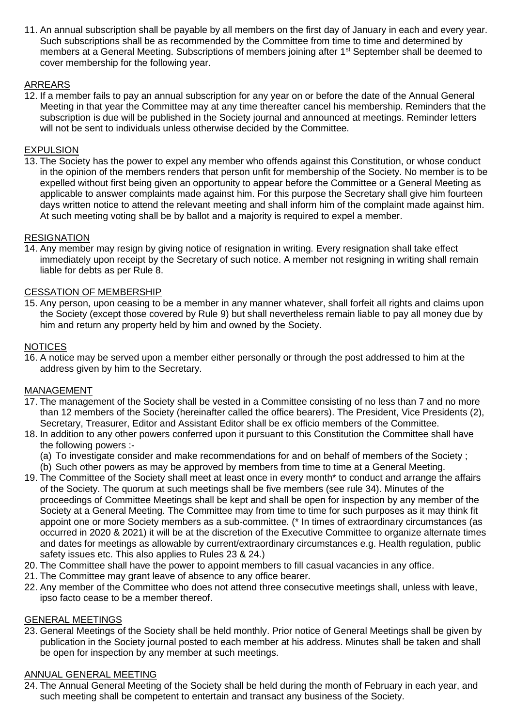11. An annual subscription shall be payable by all members on the first day of January in each and every year. Such subscriptions shall be as recommended by the Committee from time to time and determined by members at a General Meeting. Subscriptions of members joining after 1<sup>st</sup> September shall be deemed to cover membership for the following year.

# ARREARS

12. If a member fails to pay an annual subscription for any year on or before the date of the Annual General Meeting in that year the Committee may at any time thereafter cancel his membership. Reminders that the subscription is due will be published in the Society journal and announced at meetings. Reminder letters will not be sent to individuals unless otherwise decided by the Committee.

### EXPULSION

13. The Society has the power to expel any member who offends against this Constitution, or whose conduct in the opinion of the members renders that person unfit for membership of the Society. No member is to be expelled without first being given an opportunity to appear before the Committee or a General Meeting as applicable to answer complaints made against him. For this purpose the Secretary shall give him fourteen days written notice to attend the relevant meeting and shall inform him of the complaint made against him. At such meeting voting shall be by ballot and a majority is required to expel a member.

### RESIGNATION

14. Any member may resign by giving notice of resignation in writing. Every resignation shall take effect immediately upon receipt by the Secretary of such notice. A member not resigning in writing shall remain liable for debts as per Rule 8.

### CESSATION OF MEMBERSHIP

15. Any person, upon ceasing to be a member in any manner whatever, shall forfeit all rights and claims upon the Society (except those covered by Rule 9) but shall nevertheless remain liable to pay all money due by him and return any property held by him and owned by the Society.

#### **NOTICES**

16. A notice may be served upon a member either personally or through the post addressed to him at the address given by him to the Secretary.

#### MANAGEMENT

- 17. The management of the Society shall be vested in a Committee consisting of no less than 7 and no more than 12 members of the Society (hereinafter called the office bearers). The President, Vice Presidents (2), Secretary, Treasurer, Editor and Assistant Editor shall be ex officio members of the Committee.
- 18. In addition to any other powers conferred upon it pursuant to this Constitution the Committee shall have the following powers :-
	- (a) To investigate consider and make recommendations for and on behalf of members of the Society ;
	- (b) Such other powers as may be approved by members from time to time at a General Meeting.
- 19. The Committee of the Society shall meet at least once in every month\* to conduct and arrange the affairs of the Society. The quorum at such meetings shall be five members (see rule 34). Minutes of the proceedings of Committee Meetings shall be kept and shall be open for inspection by any member of the Society at a General Meeting. The Committee may from time to time for such purposes as it may think fit appoint one or more Society members as a sub-committee. (\* In times of extraordinary circumstances (as occurred in 2020 & 2021) it will be at the discretion of the Executive Committee to organize alternate times and dates for meetings as allowable by current/extraordinary circumstances e.g. Health regulation, public safety issues etc. This also applies to Rules 23 & 24.)
- 20. The Committee shall have the power to appoint members to fill casual vacancies in any office.
- 21. The Committee may grant leave of absence to any office bearer.
- 22. Any member of the Committee who does not attend three consecutive meetings shall, unless with leave, ipso facto cease to be a member thereof.

#### GENERAL MEETINGS

23. General Meetings of the Society shall be held monthly. Prior notice of General Meetings shall be given by publication in the Society journal posted to each member at his address. Minutes shall be taken and shall be open for inspection by any member at such meetings.

# ANNUAL GENERAL MEETING

24. The Annual General Meeting of the Society shall be held during the month of February in each year, and such meeting shall be competent to entertain and transact any business of the Society.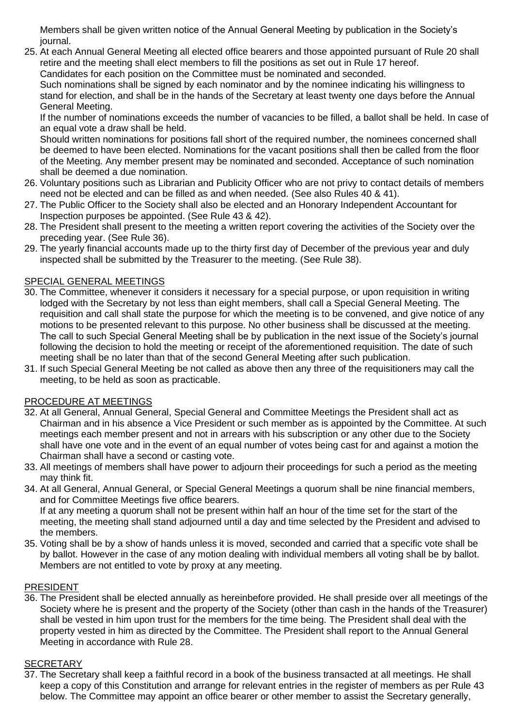Members shall be given written notice of the Annual General Meeting by publication in the Society's journal.

25. At each Annual General Meeting all elected office bearers and those appointed pursuant of Rule 20 shall retire and the meeting shall elect members to fill the positions as set out in Rule 17 hereof. Candidates for each position on the Committee must be nominated and seconded.

Such nominations shall be signed by each nominator and by the nominee indicating his willingness to stand for election, and shall be in the hands of the Secretary at least twenty one days before the Annual General Meeting.

If the number of nominations exceeds the number of vacancies to be filled, a ballot shall be held. In case of an equal vote a draw shall be held.

Should written nominations for positions fall short of the required number, the nominees concerned shall be deemed to have been elected. Nominations for the vacant positions shall then be called from the floor of the Meeting. Any member present may be nominated and seconded. Acceptance of such nomination shall be deemed a due nomination.

- 26. Voluntary positions such as Librarian and Publicity Officer who are not privy to contact details of members need not be elected and can be filled as and when needed. (See also Rules 40 & 41).
- 27. The Public Officer to the Society shall also be elected and an Honorary Independent Accountant for Inspection purposes be appointed. (See Rule 43 & 42).
- 28. The President shall present to the meeting a written report covering the activities of the Society over the preceding year. (See Rule 36).
- 29. The yearly financial accounts made up to the thirty first day of December of the previous year and duly inspected shall be submitted by the Treasurer to the meeting. (See Rule 38).

# SPECIAL GENERAL MEETINGS

- 30. The Committee, whenever it considers it necessary for a special purpose, or upon requisition in writing lodged with the Secretary by not less than eight members, shall call a Special General Meeting. The requisition and call shall state the purpose for which the meeting is to be convened, and give notice of any motions to be presented relevant to this purpose. No other business shall be discussed at the meeting. The call to such Special General Meeting shall be by publication in the next issue of the Society's journal following the decision to hold the meeting or receipt of the aforementioned requisition. The date of such meeting shall be no later than that of the second General Meeting after such publication.
- 31. If such Special General Meeting be not called as above then any three of the requisitioners may call the meeting, to be held as soon as practicable.

# PROCEDURE AT MEETINGS

- 32. At all General, Annual General, Special General and Committee Meetings the President shall act as Chairman and in his absence a Vice President or such member as is appointed by the Committee. At such meetings each member present and not in arrears with his subscription or any other due to the Society shall have one vote and in the event of an equal number of votes being cast for and against a motion the Chairman shall have a second or casting vote.
- 33. All meetings of members shall have power to adjourn their proceedings for such a period as the meeting may think fit.
- 34. At all General, Annual General, or Special General Meetings a quorum shall be nine financial members, and for Committee Meetings five office bearers.

If at any meeting a quorum shall not be present within half an hour of the time set for the start of the meeting, the meeting shall stand adjourned until a day and time selected by the President and advised to the members.

35. Voting shall be by a show of hands unless it is moved, seconded and carried that a specific vote shall be by ballot. However in the case of any motion dealing with individual members all voting shall be by ballot. Members are not entitled to vote by proxy at any meeting.

# PRESIDENT

36. The President shall be elected annually as hereinbefore provided. He shall preside over all meetings of the Society where he is present and the property of the Society (other than cash in the hands of the Treasurer) shall be vested in him upon trust for the members for the time being. The President shall deal with the property vested in him as directed by the Committee. The President shall report to the Annual General Meeting in accordance with Rule 28.

# **SECRETARY**

37. The Secretary shall keep a faithful record in a book of the business transacted at all meetings. He shall keep a copy of this Constitution and arrange for relevant entries in the register of members as per Rule 43 below. The Committee may appoint an office bearer or other member to assist the Secretary generally,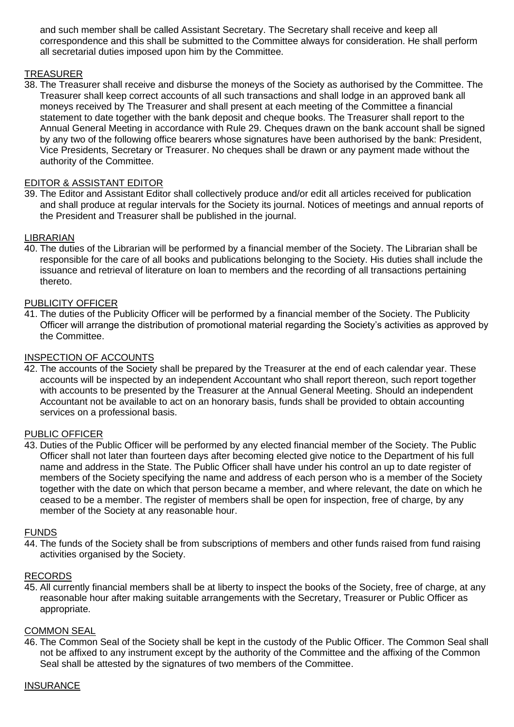and such member shall be called Assistant Secretary. The Secretary shall receive and keep all correspondence and this shall be submitted to the Committee always for consideration. He shall perform all secretarial duties imposed upon him by the Committee.

### TREASURER

38. The Treasurer shall receive and disburse the moneys of the Society as authorised by the Committee. The Treasurer shall keep correct accounts of all such transactions and shall lodge in an approved bank all moneys received by The Treasurer and shall present at each meeting of the Committee a financial statement to date together with the bank deposit and cheque books. The Treasurer shall report to the Annual General Meeting in accordance with Rule 29. Cheques drawn on the bank account shall be signed by any two of the following office bearers whose signatures have been authorised by the bank: President, Vice Presidents, Secretary or Treasurer. No cheques shall be drawn or any payment made without the authority of the Committee.

### EDITOR & ASSISTANT EDITOR

39. The Editor and Assistant Editor shall collectively produce and/or edit all articles received for publication and shall produce at regular intervals for the Society its journal. Notices of meetings and annual reports of the President and Treasurer shall be published in the journal.

#### LIBRARIAN

40. The duties of the Librarian will be performed by a financial member of the Society. The Librarian shall be responsible for the care of all books and publications belonging to the Society. His duties shall include the issuance and retrieval of literature on loan to members and the recording of all transactions pertaining thereto.

### PUBLICITY OFFICER

41. The duties of the Publicity Officer will be performed by a financial member of the Society. The Publicity Officer will arrange the distribution of promotional material regarding the Society's activities as approved by the Committee.

#### INSPECTION OF ACCOUNTS

42. The accounts of the Society shall be prepared by the Treasurer at the end of each calendar year. These accounts will be inspected by an independent Accountant who shall report thereon, such report together with accounts to be presented by the Treasurer at the Annual General Meeting. Should an independent Accountant not be available to act on an honorary basis, funds shall be provided to obtain accounting services on a professional basis.

#### PUBLIC OFFICER

43. Duties of the Public Officer will be performed by any elected financial member of the Society. The Public Officer shall not later than fourteen days after becoming elected give notice to the Department of his full name and address in the State. The Public Officer shall have under his control an up to date register of members of the Society specifying the name and address of each person who is a member of the Society together with the date on which that person became a member, and where relevant, the date on which he ceased to be a member. The register of members shall be open for inspection, free of charge, by any member of the Society at any reasonable hour.

#### FUNDS

44. The funds of the Society shall be from subscriptions of members and other funds raised from fund raising activities organised by the Society.

#### RECORDS

45. All currently financial members shall be at liberty to inspect the books of the Society, free of charge, at any reasonable hour after making suitable arrangements with the Secretary, Treasurer or Public Officer as appropriate.

#### COMMON SEAL

46. The Common Seal of the Society shall be kept in the custody of the Public Officer. The Common Seal shall not be affixed to any instrument except by the authority of the Committee and the affixing of the Common Seal shall be attested by the signatures of two members of the Committee.

#### **INSURANCE**